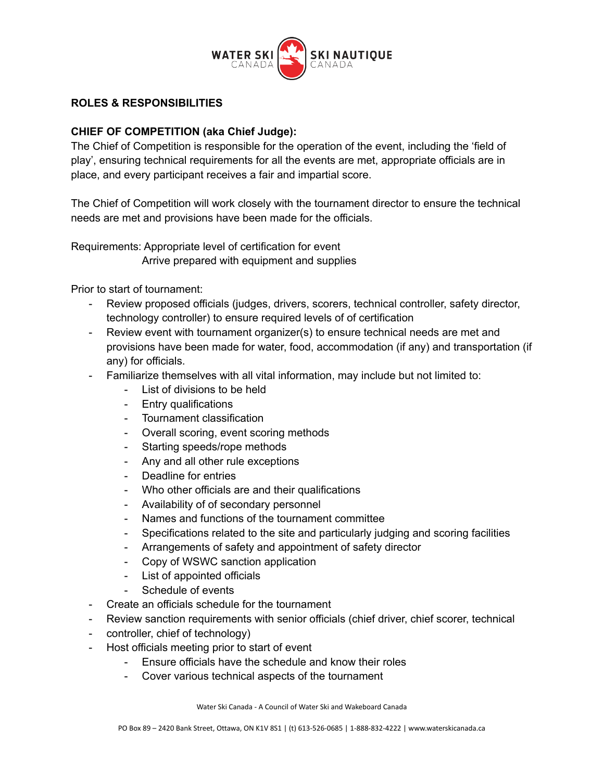

## **ROLES & RESPONSIBILITIES**

## **CHIEF OF COMPETITION (aka Chief Judge):**

The Chief of Competition is responsible for the operation of the event, including the 'field of play', ensuring technical requirements for all the events are met, appropriate officials are in place, and every participant receives a fair and impartial score.

The Chief of Competition will work closely with the tournament director to ensure the technical needs are met and provisions have been made for the officials.

Requirements: Appropriate level of certification for event Arrive prepared with equipment and supplies

Prior to start of tournament:

- Review proposed officials (judges, drivers, scorers, technical controller, safety director, technology controller) to ensure required levels of of certification
- Review event with tournament organizer(s) to ensure technical needs are met and provisions have been made for water, food, accommodation (if any) and transportation (if any) for officials.
- Familiarize themselves with all vital information, may include but not limited to:
	- List of divisions to be held
	- Entry qualifications
	- Tournament classification
	- Overall scoring, event scoring methods
	- Starting speeds/rope methods
	- Any and all other rule exceptions
	- Deadline for entries
	- Who other officials are and their qualifications
	- Availability of of secondary personnel
	- Names and functions of the tournament committee
	- Specifications related to the site and particularly judging and scoring facilities
	- Arrangements of safety and appointment of safety director
	- Copy of WSWC sanction application
	- List of appointed officials
	- Schedule of events
- Create an officials schedule for the tournament
- Review sanction requirements with senior officials (chief driver, chief scorer, technical
- controller, chief of technology)
- Host officials meeting prior to start of event
	- Ensure officials have the schedule and know their roles
	- Cover various technical aspects of the tournament